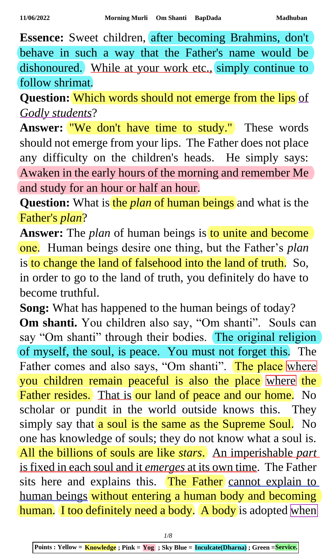**Essence:** Sweet children, after becoming Brahmins, don't behave in such a way that the Father's name would be dishonoured. While at your work etc., simply continue to follow shrimat.

**Question:** Which words should not emerge from the lips of *Godly students*?

Answer: "We don't have time to study." These words should not emerge from your lips. The Father does not place any difficulty on the children's heads. He simply says: Awaken in the early hours of the morning and remember Me and study for an hour or half an hour.

**Question:** What is the *plan* of human beings and what is the Father's *plan*?

Answer: The *plan* of human beings is to unite and become one. Human beings desire one thing, but the Father's *plan* is to change the land of falsehood into the land of truth. So, in order to go to the land of truth, you definitely do have to become truthful.

**Song:** What has happened to the human beings of today? **Om shanti.** You children also say, "Om shanti". Souls can say "Om shanti" through their bodies. The original religion of myself, the soul, is peace. You must not forget this. The Father comes and also says, "Om shanti". The place where you children remain peaceful is also the place where the Father resides. That is our land of peace and our home. No scholar or pundit in the world outside knows this. They simply say that a soul is the same as the Supreme Soul. No one has knowledge of souls; they do not know what a soul is. All the billions of souls are like *stars*. An imperishable *part* is fixed in each soul and it *emerges* at its own time. The Father sits here and explains this. The Father cannot explain to human beings without entering a human body and becoming human. I too definitely need a body. A body is adopted when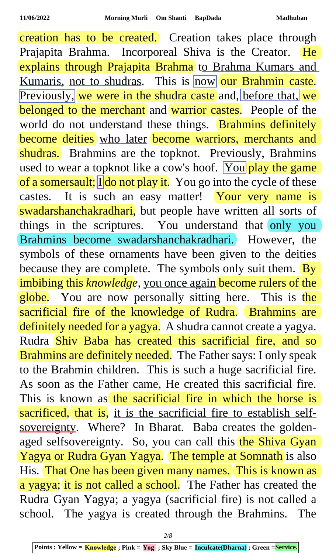creation has to be created. Creation takes place through Prajapita Brahma. Incorporeal Shiva is the Creator. He explains through Prajapita Brahma to Brahma Kumars and Kumaris, not to shudras. This is now our Brahmin caste. Previously, we were in the shudra caste and, before that, we belonged to the merchant and warrior castes. People of the world do not understand these things. Brahmins definitely become deities who later become warriors, merchants and shudras. Brahmins are the topknot. Previously, Brahmins used to wear a topknot like a cow's hoof. You play the game of a somersault; I do not play it. You go into the cycle of these castes. It is such an easy matter! Your very name is swadarshanchakradhari, but people have written all sorts of things in the scriptures. You understand that only you Brahmins become swadarshanchakradhari. However, the symbols of these ornaments have been given to the deities because they are complete. The symbols only suit them.  $\overline{By}$ imbibing this *knowledge,* you once again become rulers of the globe. You are now personally sitting here. This is the sacrificial fire of the knowledge of Rudra. Brahmins are definitely needed for a yagya. A shudra cannot create a yagya. Rudra Shiv Baba has created this sacrificial fire, and so Brahmins are definitely needed. The Father says: I only speak to the Brahmin children. This is such a huge sacrificial fire. As soon as the Father came, He created this sacrificial fire. This is known as the sacrificial fire in which the horse is sacrificed, that is, it is the sacrificial fire to establish selfsovereignty. Where? In Bharat. Baba creates the goldenaged selfsovereignty. So, you can call this the Shiva Gyan Yagya or Rudra Gyan Yagya. The temple at Somnath is also His. That One has been given many names. This is known as a yagya; it is not called a school. The Father has created the Rudra Gyan Yagya; a yagya (sacrificial fire) is not called a school. The yagya is created through the Brahmins. The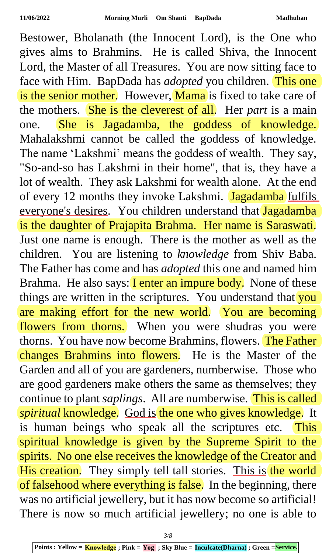Bestower, Bholanath (the Innocent Lord), is the One who gives alms to Brahmins. He is called Shiva, the Innocent Lord, the Master of all Treasures. You are now sitting face to face with Him. BapDada has *adopted* you children. This one is the senior mother. However, Mama is fixed to take care of the mothers. She is the cleverest of all. Her *part* is a main one. She is Jagadamba, the goddess of knowledge. Mahalakshmi cannot be called the goddess of knowledge. The name 'Lakshmi' means the goddess of wealth. They say, "So-and-so has Lakshmi in their home", that is, they have a lot of wealth. They ask Lakshmi for wealth alone. At the end of every 12 months they invoke Lakshmi. Jagadamba fulfils everyone's desires. You children understand that Jagadamba is the daughter of Prajapita Brahma. Her name is Saraswati. Just one name is enough. There is the mother as well as the children. You are listening to *knowledge* from Shiv Baba. The Father has come and has *adopted* this one and named him Brahma. He also says: I enter an impure body. None of these things are written in the scriptures. You understand that you are making effort for the new world. You are becoming flowers from thorns. When you were shudras you were thorns. You have now become Brahmins, flowers. The Father changes Brahmins into flowers. He is the Master of the Garden and all of you are gardeners, numberwise. Those who are good gardeners make others the same as themselves; they continue to plant *saplings*. All are numberwise. This is called *spiritual* knowledge. God is the one who gives knowledge. It is human beings who speak all the scriptures etc. This spiritual knowledge is given by the Supreme Spirit to the spirits. No one else receives the knowledge of the Creator and His creation. They simply tell tall stories. This is the world of falsehood where everything is false. In the beginning, there was no artificial jewellery, but it has now become so artificial! There is now so much artificial jewellery; no one is able to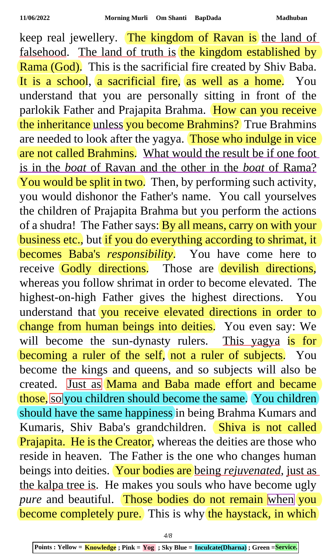keep real jewellery. The kingdom of Ravan is the land of falsehood. The land of truth is the kingdom established by Rama (God). This is the sacrificial fire created by Shiv Baba. It is a school, a sacrificial fire, as well as a home. You understand that you are personally sitting in front of the parlokik Father and Prajapita Brahma. How can you receive the inheritance unless you become Brahmins? True Brahmins are needed to look after the yagya. Those who indulge in vice are not called Brahmins. What would the result be if one foot is in the *boat* of Ravan and the other in the *boat* of Rama? You would be split in two. Then, by performing such activity, you would dishonor the Father's name. You call yourselves the children of Prajapita Brahma but you perform the actions of a shudra! The Father says: By all means, carry on with your business etc., but if you do everything according to shrimat, it becomes Baba's *responsibility*. You have come here to receive Godly directions. Those are devilish directions, whereas you follow shrimat in order to become elevated. The highest-on-high Father gives the highest directions. You understand that you receive elevated directions in order to change from human beings into deities. You even say: We will become the sun-dynasty rulers. This yagya is for becoming a ruler of the self, not a ruler of subjects. You become the kings and queens, and so subjects will also be created. Just as Mama and Baba made effort and became those, so you children should become the same. You children should have the same happiness in being Brahma Kumars and Kumaris, Shiv Baba's grandchildren. Shiva is not called Prajapita. He is the Creator, whereas the deities are those who reside in heaven. The Father is the one who changes human beings into deities. Your bodies are being *rejuvenated,* just as the kalpa tree is. He makes you souls who have become ugly *pure* and beautiful. Those bodies do not remain when you become completely pure. This is why the haystack, in which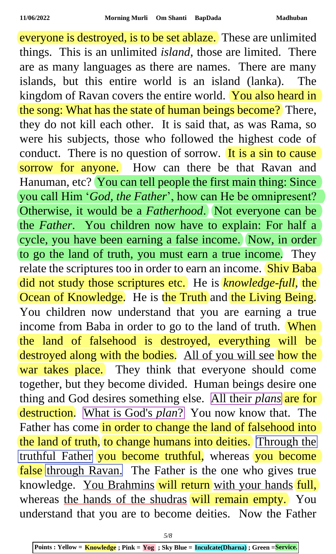everyone is destroyed, is to be set ablaze. These are unlimited things. This is an unlimited *island*, those are limited. There are as many languages as there are names. There are many islands, but this entire world is an island (lanka). The kingdom of Ravan covers the entire world. You also heard in the song: What has the state of human beings become? There, they do not kill each other. It is said that, as was Rama, so were his subjects, those who followed the highest code of conduct. There is no question of sorrow. It is a sin to cause sorrow for anyone. How can there be that Ravan and Hanuman, etc? You can tell people the first main thing: Since you call Him '*God, the Father*', how can He be omnipresent? Otherwise, it would be a *Fatherhood*. Not everyone can be the *Father*. You children now have to explain: For half a cycle, you have been earning a false income. Now, in order to go the land of truth, you must earn a true income. They relate the scriptures too in order to earn an income. Shiv Baba did not study those scriptures etc. He is *knowledge-full*, the Ocean of Knowledge. He is the Truth and the Living Being. You children now understand that you are earning a true income from Baba in order to go to the land of truth. When the land of falsehood is destroyed, everything will be destroyed along with the bodies. All of you will see how the war takes place. They think that everyone should come together, but they become divided. Human beings desire one thing and God desires something else. All their *plans* are for destruction. What is God's *plan*? You now know that. The Father has come in order to change the land of falsehood into the land of truth, to change humans into deities. Through the truthful Father you become truthful, whereas you become false through Ravan. The Father is the one who gives true knowledge. You Brahmins will return with your hands full, whereas the hands of the shudras will remain empty. You understand that you are to become deities. Now the Father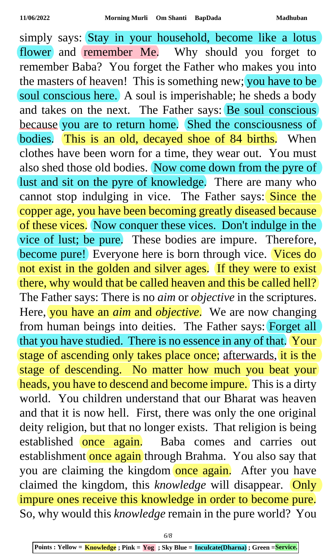simply says: Stay in your household, become like a lotus flower and remember Me. Why should you forget to remember Baba? You forget the Father who makes you into the masters of heaven! This is something new; you have to be soul conscious here. A soul is imperishable; he sheds a body and takes on the next. The Father says: Be soul conscious because you are to return home. Shed the consciousness of bodies. This is an old, decayed shoe of 84 births. When clothes have been worn for a time, they wear out. You must also shed those old bodies. Now come down from the pyre of lust and sit on the pyre of knowledge. There are many who cannot stop indulging in vice. The Father says: Since the copper age, you have been becoming greatly diseased because of these vices. Now conquer these vices. Don't indulge in the vice of lust; be pure. These bodies are impure. Therefore, become pure! Everyone here is born through vice. Vices do not exist in the golden and silver ages. If they were to exist there, why would that be called heaven and this be called hell? The Father says: There is no *aim* or *objective* in the scriptures. Here, you have an *aim* and *objective*. We are now changing from human beings into deities. The Father says: Forget all that you have studied. There is no essence in any of that. Your stage of ascending only takes place once; afterwards, it is the stage of descending. No matter how much you beat your heads, you have to descend and become impure. This is a dirty world. You children understand that our Bharat was heaven and that it is now hell. First, there was only the one original deity religion, but that no longer exists. That religion is being established once again. Baba comes and carries out establishment once again through Brahma. You also say that you are claiming the kingdom once again. After you have claimed the kingdom, this *knowledge* will disappear. Only impure ones receive this knowledge in order to become pure. So, why would this *knowledge* remain in the pure world? You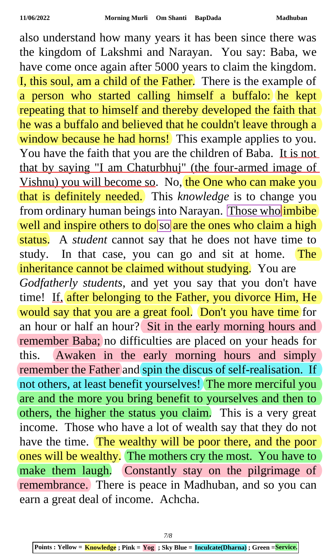also understand how many years it has been since there was the kingdom of Lakshmi and Narayan. You say: Baba, we have come once again after 5000 years to claim the kingdom. I, this soul, am a child of the Father. There is the example of a person who started calling himself a buffalo: he kept repeating that to himself and thereby developed the faith that he was a buffalo and believed that he couldn't leave through a window because he had horns! This example applies to you. You have the faith that you are the children of Baba. It is not that by saying "I am Chaturbhuj" (the four-armed image of Vishnu) you will become so. No, the One who can make you that is definitely needed. This *knowledge* is to change you from ordinary human beings into Narayan. Those who imbibe well and inspire others to do so are the ones who claim a high status. A *student* cannot say that he does not have time to study. In that case, you can go and sit at home. The inheritance cannot be claimed without studying. You are *Godfatherly students*, and yet you say that you don't have time! If, after belonging to the Father, you divorce Him, He would say that you are a great fool. Don't you have time for an hour or half an hour? Sit in the early morning hours and remember Baba; no difficulties are placed on your heads for this. Awaken in the early morning hours and simply remember the Father and spin the discus of self-realisation. If not others, at least benefit yourselves! The more merciful you are and the more you bring benefit to yourselves and then to others, the higher the status you claim. This is a very great income. Those who have a lot of wealth say that they do not have the time. The wealthy will be poor there, and the poor ones will be wealthy. The mothers cry the most. You have to make them laugh. Constantly stay on the pilgrimage of remembrance. There is peace in Madhuban, and so you can earn a great deal of income. Achcha.